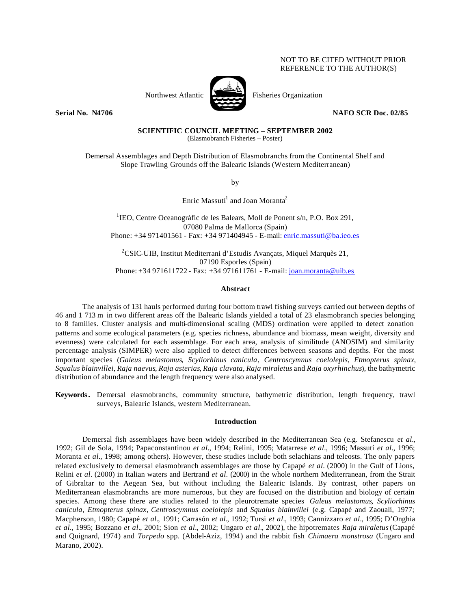# NOT TO BE CITED WITHOUT PRIOR REFERENCE TO THE AUTHOR(S)



Northwest Atlantic Fisheries Organization

**Serial No. N4706** NAFO SCR Doc. 02/85

**SCIENTIFIC COUNCIL MEETING – SEPTEMBER 2002** (Elasmobranch Fisheries – Poster)

Demersal Assemblages and Depth Distribution of Elasmobranchs from the Continental Shelf and Slope Trawling Grounds off the Balearic Islands (Western Mediterranean)

by

Enric Massutí $^1$  and Joan Moranta $^2$ 

<sup>1</sup>IEO, Centre Oceanogràfic de les Balears, Moll de Ponent s/n, P.O. Box 291, 07080 Palma de Mallorca (Spain) Phone: +34 971401561 - Fax: +34 971404945 - E-mail: enric.massuti@ba.ieo.es

<sup>2</sup>CSIC-UIB, Institut Mediterrani d'Estudis Avançats, Miquel Marquès 21, 07190 Esporles (Spain) Phone: +34 971611722 - Fax: +34 971611761 - E-mail: joan.moranta@uib.es

## **Abstract**

The analysis of 131 hauls performed during four bottom trawl fishing surveys carried out between depths of 46 and 1 713 m in two different areas off the Balearic Islands yielded a total of 23 elasmobranch species belonging to 8 families. Cluster analysis and multi-dimensional scaling (MDS) ordination were applied to detect zonation patterns and some ecological parameters (e.g. species richness, abundance and biomass, mean weight, diversity and evenness) were calculated for each assemblage. For each area, analysis of similitude (ANOSIM) and similarity percentage analysis (SIMPER) were also applied to detect differences between seasons and depths. For the most important species (*Galeus melastomus*, *Scyliorhinus canicula*, *Centroscymnus coelolepis*, *Etmopterus spinax*, *Squalus blainvillei*, *Raja naevus*, *Raja asterias*, *Raja clavata*, *Raja miraletus* and *Raja oxyrhinchus*), the bathymetric distribution of abundance and the length frequency were also analysed.

**Keywords.** Demersal elasmobranchs, community structure, bathymetric distribution, length frequency, trawl surveys, Balearic Islands, western Mediterranean.

## **Introduction**

Demersal fish assemblages have been widely described in the Mediterranean Sea (e.g. Stefanescu *et al.*, 1992; Gil de Sola, 1994; Papaconstantinou *et al.*, 1994; Relini, 1995; Matarrese *et al.*, 1996; Massutí *et al.*, 1996; Moranta *et al.*, 1998; among others). However, these studies include both selachians and teleosts. The only papers related exclusively to demersal elasmobranch assemblages are those by Capapé *et al.* (2000) in the Gulf of Lions, Relini *et al.* (2000) in Italian waters and Bertrand *et al.* (2000) in the whole northern Mediterranean, from the Strait of Gibraltar to the Aegean Sea, but without including the Balearic Islands. By contrast, other papers on Mediterranean elasmobranchs are more numerous, but they are focused on the distribution and biology of certain species. Among these there are studies related to the pleurotremate species *Galeus melastomus*, *Scyliorhinus canicula*, *Etmopterus spinax*, *Centroscymnus coelolepis* and *Squalus blainvillei* (e.g. Capapé and Zaouali, 1977; Macpherson, 1980; Capapé *et al.*, 1991; Carrasón *et al.*, 1992; Tursi *et al.*, 1993; Cannizzaro *et al.*, 1995; D'Onghia *et al.*, 1995; Bozzano *et al.*, 2001; Sion *et al.*, 2002; Ungaro *et al.*, 2002), the hipotremates *Raja miraletus* (Capapé and Quignard, 1974) and *Torpedo* spp. (Abdel-Aziz, 1994) and the rabbit fish *Chimaera monstrosa* (Ungaro and Marano, 2002).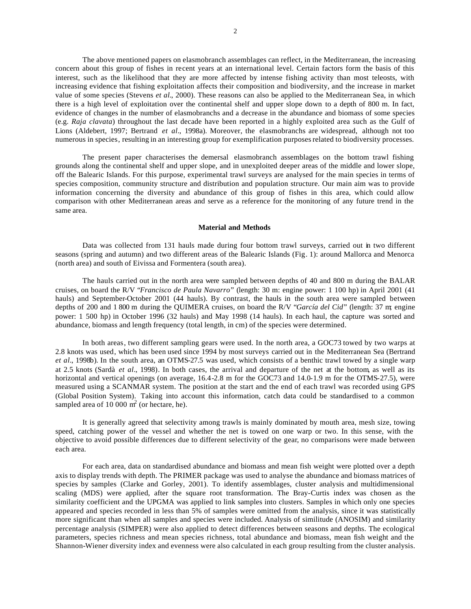The above mentioned papers on elasmobranch assemblages can reflect, in the Mediterranean, the increasing concern about this group of fishes in recent years at an international level. Certain factors form the basis of this interest, such as the likelihood that they are more affected by intense fishing activity than most teleosts, with increasing evidence that fishing exploitation affects their composition and biodiversity, and the increase in market value of some species (Stevens *et al.*, 2000). These reasons can also be applied to the Mediterranean Sea, in which there is a high level of exploitation over the continental shelf and upper slope down to a depth of 800 m. In fact, evidence of changes in the number of elasmobranchs and a decrease in the abundance and biomass of some species (e.g. *Raja clavata*) throughout the last decade have been reported in a highly exploited area such as the Gulf of Lions (Aldebert, 1997; Bertrand *et al.*, 1998a). Moreover, the elasmobranchs are widespread, although not too numerous in species, resulting in an interesting group for exemplification purposes related to biodiversity processes.

The present paper characterises the demersal elasmobranch assemblages on the bottom trawl fishing grounds along the continental shelf and upper slope, and in unexploited deeper areas of the middle and lower slope, off the Balearic Islands. For this purpose, experimental trawl surveys are analysed for the main species in terms of species composition, community structure and distribution and population structure. Our main aim was to provide information concerning the diversity and abundance of this group of fishes in this area, which could allow comparison with other Mediterranean areas and serve as a reference for the monitoring of any future trend in the same area.

### **Material and Methods**

Data was collected from 131 hauls made during four bottom trawl surveys, carried out in two different seasons (spring and autumn) and two different areas of the Balearic Islands (Fig. 1): around Mallorca and Menorca (north area) and south of Eivissa and Formentera (south area).

The hauls carried out in the north area were sampled between depths of 40 and 800 m during the BALAR cruises, on board the R/V "*Francisco de Paula Navarro*" (length: 30 m: engine power: 1 100 hp) in April 2001 (41 hauls) and September-October 2001 (44 hauls). By contrast, the hauls in the south area were sampled between depths of 200 and 1 800 m during the QUIMERA cruises, on board the R/V "*García del Cid*" (length: 37 m; engine power: 1 500 hp) in October 1996 (32 hauls) and May 1998 (14 hauls). In each haul, the capture was sorted and abundance, biomass and length frequency (total length, in cm) of the species were determined.

In both areas, two different sampling gears were used. In the north area, a GOC73 towed by two warps at 2.8 knots was used, which has been used since 1994 by most surveys carried out in the Mediterranean Sea (Bertrand *et al.*, 1998b). In the south area, an OTMS-27.5 was used, which consists of a benthic trawl towed by a single warp at 2.5 knots (Sardà *et al.*, 1998). In both cases, the arrival and departure of the net at the bottom, as well as its horizontal and vertical openings (on average, 16.4-2.8 m for the GOC73 and 14.0-1.9 m for the OTMS-27.5), were measured using a SCANMAR system. The position at the start and the end of each trawl was recorded using GPS (Global Position System). Taking into account this information, catch data could be standardised to a common sampled area of 10 000  $\text{m}^2$  (or hectare, he).

It is generally agreed that selectivity among trawls is mainly dominated by mouth area, mesh size, towing speed, catching power of the vessel and whether the net is towed on one warp or two. In this sense, with the objective to avoid possible differences due to different selectivity of the gear, no comparisons were made between each area.

For each area, data on standardised abundance and biomass and mean fish weight were plotted over a depth axis to display trends with depth. The PRIMER package was used to analyse the abundance and biomass matrices of species by samples (Clarke and Gorley, 2001). To identify assemblages, cluster analysis and multidimensional scaling (MDS) were applied, after the square root transformation. The Bray-Curtis index was chosen as the similarity coefficient and the UPGMA was applied to link samples into clusters. Samples in which only one species appeared and species recorded in less than 5% of samples were omitted from the analysis, since it was statistically more significant than when all samples and species were included. Analysis of similitude (ANOSIM) and similarity percentage analysis (SIMPER) were also applied to detect differences between seasons and depths. The ecological parameters, species richness and mean species richness, total abundance and biomass, mean fish weight and the Shannon-Wiener diversity index and evenness were also calculated in each group resulting from the cluster analysis.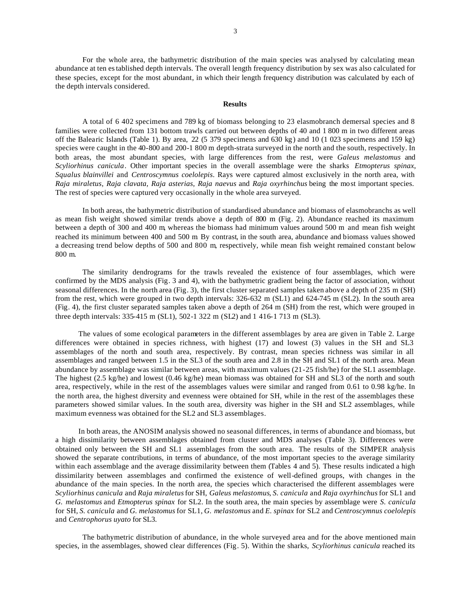For the whole area, the bathymetric distribution of the main species was analysed by calculating mean abundance at ten established depth intervals. The overall length frequency distribution by sex was also calculated for these species, except for the most abundant, in which their length frequency distribution was calculated by each of the depth intervals considered.

### **Results**

A total of 6 402 specimens and 789 kg of biomass belonging to 23 elasmobranch demersal species and 8 families were collected from 131 bottom trawls carried out between depths of 40 and 1 800 m in two different areas off the Balearic Islands (Table 1). By area, 22 (5 379 specimens and 630 kg) and 10 (1 023 specimens and 159 kg) species were caught in the 40-800 and 200-1 800 m depth-strata surveyed in the north and the south, respectively. In both areas, the most abundant species, with large differences from the rest, were *Galeus melastomus* and *Scyliorhinus canicula*. Other important species in the overall assemblage were the sharks *Etmopterus spinax*, *Squalus blainvillei* and *Centroscymnus coelolepis*. Rays were captured almost exclusively in the north area, with *Raja miraletus, Raja clavata, Raja asterias, Raja naevus* and *Raja oxyrhinchus* being the most important species. The rest of species were captured very occasionally in the whole area surveyed.

In both areas, the bathymetric distribution of standardised abundance and biomass of elasmobranchs as well as mean fish weight showed similar trends above a depth of 800 m (Fig. 2). Abundance reached its maximum between a depth of 300 and 400 m, whereas the biomass had minimum values around 500 m and mean fish weight reached its minimum between 400 and 500 m. By contrast, in the south area, abundance and biomass values showed a decreasing trend below depths of 500 and 800 m, respectively, while mean fish weight remained constant below 800 m.

The similarity dendrograms for the trawls revealed the existence of four assemblages, which were confirmed by the MDS analysis (Fig. 3 and 4), with the bathymetric gradient being the factor of association, without seasonal differences. In the north area (Fig. 3), the first cluster separated samples taken above a depth of 235 m (SH) from the rest, which were grouped in two depth intervals: 326-632 m (SL1) and 624-745 m (SL2). In the south area (Fig. 4), the first cluster separated samples taken above a depth of 264 m (SH) from the rest, which were grouped in three depth intervals: 335-415 m (SL1), 502-1 322 m (SL2) and 1 416-1 713 m (SL3).

The values of some ecological parameters in the different assemblages by area are given in Table 2. Large differences were obtained in species richness, with highest (17) and lowest (3) values in the SH and SL3 assemblages of the north and south area, respectively. By contrast, mean species richness was similar in all assemblages and ranged between 1.5 in the SL3 of the south area and 2.8 in the SH and SL1 of the north area. Mean abundance by assemblage was similar between areas, with maximum values (21-25 fish/he) for the SL1 assemblage. The highest (2.5 kg/he) and lowest (0.46 kg/he) mean biomass was obtained for SH and SL3 of the north and south area, respectively, while in the rest of the assemblages values were similar and ranged from 0.61 to 0.98 kg/he. In the north area, the highest diversity and evenness were obtained for SH, while in the rest of the assemblages these parameters showed similar values. In the south area, diversity was higher in the SH and SL2 assemblages, while maximum evenness was obtained for the SL2 and SL3 assemblages.

In both areas, the ANOSIM analysis showed no seasonal differences, in terms of abundance and biomass, but a high dissimilarity between assemblages obtained from cluster and MDS analyses (Table 3). Differences were obtained only between the SH and SL1 assemblages from the south area. The results of the SIMPER analysis showed the separate contributions, in terms of abundance, of the most important species to the average similarity within each assemblage and the average dissimilarity between them (Tables 4 and 5). These results indicated a high dissimilarity between assemblages and confirmed the existence of well-defined groups, with changes in the abundance of the main species. In the north area, the species which characterised the different assemblages were *Scyliorhinus canicula* and *Raja miraletus* for SH, *Galeus melastomus*, *S. canicula* and *Raja oxyrhinchus* for SL1 and *G. melastomus* and *Etmopterus spinax* for SL2. In the south area, the main species by assemblage were *S. canicula* for SH, *S. canicula* and *G. melastomus* for SL1, *G. melastomus* and *E. spinax* for SL2 and *Centroscymnus coelolepis* and *Centrophorus uyato* for SL3.

The bathymetric distribution of abundance, in the whole surveyed area and for the above mentioned main species, in the assemblages, showed clear differences (Fig. 5). Within the sharks, *Scyliorhinus canicula* reached its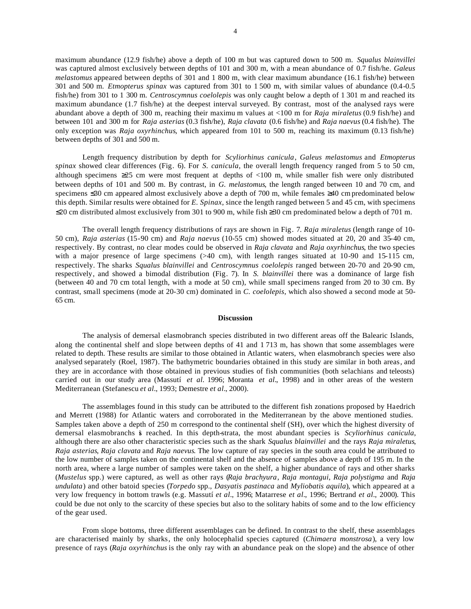maximum abundance (12.9 fish/he) above a depth of 100 m but was captured down to 500 m. *Squalus blainvillei* was captured almost exclusively between depths of 101 and 300 m, with a mean abundance of 0.7 fish/he. *Galeus melastomus* appeared between depths of 301 and 1 800 m, with clear maximum abundance (16.1 fish/he) between 301 and 500 m. *Etmopterus spinax* was captured from 301 to 1 500 m, with similar values of abundance (0.4-0.5 fish/he) from 301 to 1 300 m. *Centroscymnus coelolepis* was only caught below a depth of 1 301 m and reached its maximum abundance (1.7 fish/he) at the deepest interval surveyed. By contrast, most of the analysed rays were abundant above a depth of 300 m, reaching their maximu m values at <100 m for *Raja miraletus* (0.9 fish/he) and between 101 and 300 m for *Raja asterias* (0.3 fish/he), *Raja clavata* (0.6 fish/he) and *Raja naevus* (0.4 fish/he). The only exception was *Raja oxyrhinchus*, which appeared from 101 to 500 m, reaching its maximum (0.13 fish/he) between depths of 301 and 500 m.

Length frequency distribution by depth for *Scyliorhinus canicula*, *Galeus melastomus* and *Etmopterus spinax* showed clear differences (Fig. 6). For *S. canicula*, the overall length frequency ranged from 5 to 50 cm, although specimens ≥25 cm were most frequent at depths of <100 m, while smaller fish were only distributed between depths of 101 and 500 m. By contrast, in *G. melastomus*, the length ranged between 10 and 70 cm, and specimens ≤30 cm appeared almost exclusively above a depth of 700 m, while females ≥40 cm predominated below this depth. Similar results were obtained for *E. Spinax*, since the length ranged between 5 and 45 cm, with specimens ≤20 cm distributed almost exclusively from 301 to 900 m, while fish ≥30 cm predominated below a depth of 701 m.

The overall length frequency distributions of rays are shown in Fig. 7. *Raja miraletus* (length range of 10- 50 cm), *Raja asterias* (15-90 cm) and *Raja naevus* (10-55 cm) showed modes situated at 20, 20 and 35-40 cm, respectively. By contrast, no clear modes could be observed in *Raja clavata* and *Raja oxyrhinchus*, the two species with a major presence of large specimens (>40 cm), with length ranges situated at 10-90 and 15-115 cm, respectively. The sharks *Squalus blainvillei* and *Centroscymnus coelolepis* ranged between 20-70 and 20-90 cm, respectively, and showed a bimodal distribution (Fig. 7). In *S. blainvillei* there was a dominance of large fish (between 40 and 70 cm total length, with a mode at 50 cm), while small specimens ranged from 20 to 30 cm. By contrast, small specimens (mode at 20-30 cm) dominated in *C. coelolepis*, which also showed a second mode at 50- 65 cm.

#### **Discussion**

The analysis of demersal elasmobranch species distributed in two different areas off the Balearic Islands, along the continental shelf and slope between depths of 41 and 1 713 m, has shown that some assemblages were related to depth. These results are similar to those obtained in Atlantic waters, when elasmobranch species were also analysed separately (Roel, 1987). The bathymetric boundaries obtained in this study are similar in both areas, and they are in accordance with those obtained in previous studies of fish communities (both selachians and teleosts) carried out in our study area (Massutí *et al.* 1996; Moranta *et al.*, 1998) and in other areas of the western Mediterranean (Stefanescu *et al.*, 1993; Demestre *et al.*, 2000).

The assemblages found in this study can be attributed to the different fish zonations proposed by Haedrich and Merrett (1988) for Atlantic waters and corroborated in the Mediterranean by the above mentioned studies. Samples taken above a depth of 250 m correspond to the continental shelf (SH), over which the highest diversity of demersal elasmobranchs is reached. In this depth-strata, the most abundant species is *Scyliorhinus canicula*, although there are also other characteristic species such as the shark *Squalus blainvillei* and the rays *Raja miraletus*, *Raja asterias*, *Raja clavata* and *Raja naevus*. The low capture of ray species in the south area could be attributed to the low number of samples taken on the continental shelf and the absence of samples above a depth of 195 m. In the north area, where a large number of samples were taken on the shelf, a higher abundance of rays and other sharks (*Mustelus* spp.) were captured, as well as other rays (*Raja brachyura*, *Raja montagui*, *Raja polystigma* and *Raja undulata*) and other batoid species (*Torpedo* spp., *Dasyatis pastinaca* and *Myliobatis aquila*), which appeared at a very low frequency in bottom trawls (e.g. Massutí *et al.*, 1996; Matarrese *et al.*, 1996; Bertrand *et al.*, 2000). This could be due not only to the scarcity of these species but also to the solitary habits of some and to the low efficiency of the gear used.

From slope bottoms, three different assemblages can be defined. In contrast to the shelf, these assemblages are characterised mainly by sharks, the only holocephalid species captured (*Chimaera monstrosa*), a very low presence of rays (*Raja oxyrhinchus* is the only ray with an abundance peak on the slope) and the absence of other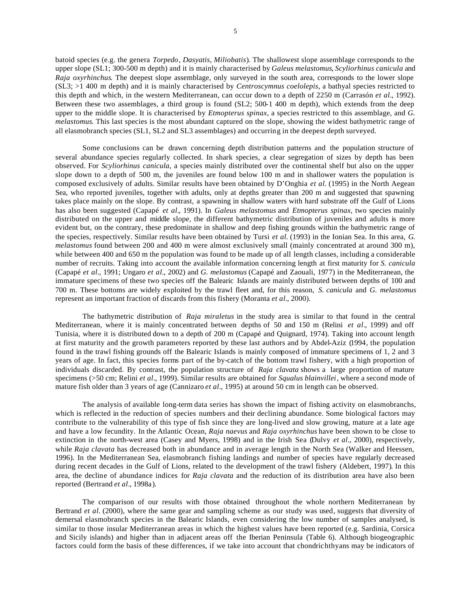batoid species (e.g. the genera *Torpedo*, *Dasyatis*, *Miliobatis*). The shallowest slope assemblage corresponds to the upper slope (SL1; 300-500 m depth) and it is mainly characterised by *Galeus melastomus*, *Scyliorhinus canicula* and *Raja oxyrhinchus*. The deepest slope assemblage, only surveyed in the south area, corresponds to the lower slope (SL3; >1 400 m depth) and it is mainly characterised by *Centroscymnus coelolepis*, a bathyal species restricted to this depth and which, in the western Mediterranean, can occur down to a depth of 2250 m (Carrasón *et al.*, 1992). Between these two assemblages, a third group is found (SL2; 500-1 400 m depth), which extends from the deep upper to the middle slope. It is characterised by *Etmopterus spinax*, a species restricted to this assemblage, and *G. melastomus*. This last species is the most abundant captured on the slope, showing the widest bathymetric range of all elasmobranch species (SL1, SL2 and SL3 assemblages) and occurring in the deepest depth surveyed.

Some conclusions can be drawn concerning depth distribution patterns and the population structure of several abundance species regularly collected. In shark species, a clear segregation of sizes by depth has been observed. For *Scyliorhinus canicula*, a species mainly distributed over the continental shelf but also on the upper slope down to a depth of 500 m, the juveniles are found below 100 m and in shallower waters the population is composed exclusively of adults. Similar results have been obtained by D'Onghia *et al.* (1995) in the North Aegean Sea, who reported juveniles, together with adults, only at depths greater than 200 m and suggested that spawning takes place mainly on the slope. By contrast, a spawning in shallow waters with hard substrate off the Gulf of Lions has also been suggested (Capapé *et al.*, 1991). In *Galeus melastomus* and *Etmopterus spinax*, two species mainly distributed on the upper and middle slope, the different bathymetric distribution of juveniles and adults is more evident but, on the contrary, these predominate in shallow and deep fishing grounds within the bathymetric range of the species, respectively. Similar results have been obtained by Tursi *et al.* (1993) in the Ionian Sea. In this area, *G. melastomus* found between 200 and 400 m were almost exclusively small (mainly concentrated at around 300 m), while between 400 and 650 m the population was found to be made up of all length classes, including a considerable number of recruits. Taking into account the available information concerning length at first maturity for *S. canicula* (Capapé *et al.*, 1991; Ungaro *et al.*, 2002) and *G. melastomus* (Capapé and Zaouali, 1977) in the Mediterranean, the immature specimens of these two species off the Balearic Islands are mainly distributed between depths of 100 and 700 m. These bottoms are widely exploited by the trawl fleet and, for this reason, *S. canicula* and *G. melastomus* represent an important fraction of discards from this fishery (Moranta *et al.*, 2000).

The bathymetric distribution of *Raja miraletus* in the study area is similar to that found in the central Mediterranean, where it is mainly concentrated between depths of 50 and 150 m (Relini *et al.*, 1999) and off Tunisia, where it is distributed down to a depth of 200 m (Capapé and Quignard, 1974). Taking into account length at first maturity and the growth parameters reported by these last authors and by Abdel-Aziz (1994, the population found in the trawl fishing grounds off the Balearic Islands is mainly composed of immature specimens of 1, 2 and 3 years of age. In fact, this species forms part of the by-catch of the bottom trawl fishery, with a high proportion of individuals discarded. By contrast, the population structure of *Raja clavata* shows a large proportion of mature specimens (>50 cm; Relini *et al.*, 1999). Similar results are obtained for *Squalus blainvillei*, where a second mode of mature fish older than 3 years of age (Cannizaro *et al.*, 1995) at around 50 cm in length can be observed.

The analysis of available long-term data series has shown the impact of fishing activity on elasmobranchs, which is reflected in the reduction of species numbers and their declining abundance. Some biological factors may contribute to the vulnerability of this type of fish since they are long-lived and slow growing, mature at a late age and have a low fecundity. In the Atlantic Ocean, *Raja naevus* and *Raja oxyrhinchus* have been shown to be close to extinction in the north-west area (Casey and Myers, 1998) and in the Irish Sea (Dulvy *et al.*, 2000), respectively, while *Raja clavata* has decreased both in abundance and in average length in the North Sea (Walker and Heessen, 1996). In the Mediterranean Sea, elasmobranch fishing landings and number of species have regularly decreased during recent decades in the Gulf of Lions, related to the development of the trawl fishery (Aldebert, 1997). In this area, the decline of abundance indices for *Raja clavata* and the reduction of its distribution area have also been reported (Bertrand *et al.*, 1998a).

The comparison of our results with those obtained throughout the whole northern Mediterranean by Bertrand *et al.* (2000), where the same gear and sampling scheme as our study was used, suggests that diversity of demersal elasmobranch species in the Balearic Islands, even considering the low number of samples analysed, is similar to those insular Mediterranean areas in which the highest values have been reported (e.g. Sardinia, Corsica and Sicily islands) and higher than in adjacent areas off the Iberian Peninsula (Table 6). Although biogeographic factors could form the basis of these differences, if we take into account that chondrichthyans may be indicators of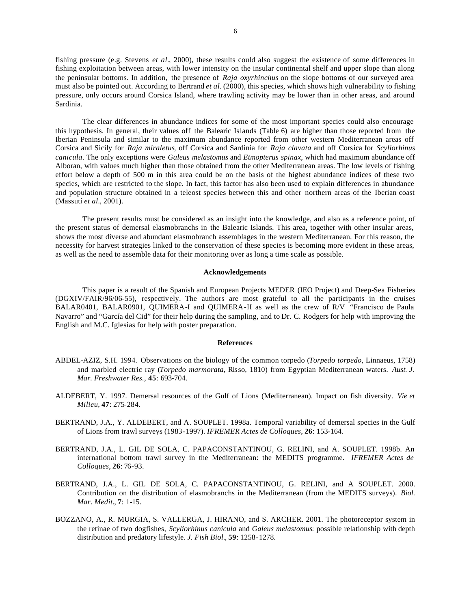fishing pressure (e.g. Stevens *et al.*, 2000), these results could also suggest the existence of some differences in fishing exploitation between areas, with lower intensity on the insular continental shelf and upper slope than along the peninsular bottoms. In addition, the presence of *Raja oxyrhinchus* on the slope bottoms of our surveyed area must also be pointed out. According to Bertrand *et al.* (2000), this species, which shows high vulnerability to fishing pressure, only occurs around Corsica Island, where trawling activity may be lower than in other areas, and around Sardinia.

The clear differences in abundance indices for some of the most important species could also encourage this hypothesis. In general, their values off the Balearic Islands (Table 6) are higher than those reported from the Iberian Peninsula and similar to the maximum abundance reported from other western Mediterranean areas off Corsica and Sicily for *Raja miraletus*, off Corsica and Sardinia for *Raja clavata* and off Corsica for *Scyliorhinus canicula*. The only exceptions were *Galeus melastomus* and *Etmopterus spinax*, which had maximum abundance off Alboran, with values much higher than those obtained from the other Mediterranean areas. The low levels of fishing effort below a depth of 500 m in this area could be on the basis of the highest abundance indices of these two species, which are restricted to the slope. In fact, this factor has also been used to explain differences in abundance and population structure obtained in a teleost species between this and other northern areas of the Iberian coast (Massutí *et al.*, 2001).

The present results must be considered as an insight into the knowledge, and also as a reference point, of the present status of demersal elasmobranchs in the Balearic Islands. This area, together with other insular areas, shows the most diverse and abundant elasmobranch assemblages in the western Mediterranean. For this reason, the necessity for harvest strategies linked to the conservation of these species is becoming more evident in these areas, as well as the need to assemble data for their monitoring over as long a time scale as possible.

### **Acknowledgements**

This paper is a result of the Spanish and European Projects MEDER (IEO Project) and Deep-Sea Fisheries (DGXIV/FAIR/96/06-55), respectively. The authors are most grateful to all the participants in the cruises BALAR0401, BALAR0901, QUIMERA-I and QUIMERA-II as well as the crew of R/V "Francisco de Paula Navarro" and "García del Cid" for their help during the sampling, and to Dr. C. Rodgers for help with improving the English and M.C. Iglesias for help with poster preparation.

#### **References**

- ABDEL-AZIZ, S.H. 1994. Observations on the biology of the common torpedo (*Torpedo torpedo*, Linnaeus, 1758) and marbled electric ray (*Torpedo marmorata*, Risso, 1810) from Egyptian Mediterranean waters. *Aust. J. Mar. Freshwater Res.*, **45**: 693-704.
- ALDEBERT, Y. 1997. Demersal resources of the Gulf of Lions (Mediterranean). Impact on fish diversity. *Vie et Milieu*, **47**: 275-284.
- BERTRAND, J.A., Y. ALDEBERT, and A. SOUPLET. 1998a. Temporal variability of demersal species in the Gulf of Lions from trawl surveys (1983-1997). *IFREMER Actes de Colloques*, **26**: 153-164.
- BERTRAND, J.A., L. GIL DE SOLA, C. PAPACONSTANTINOU, G. RELINI, and A. SOUPLET. 1998b. An international bottom trawl survey in the Mediterranean: the MEDITS programme. *IFREMER Actes de Colloques*, **26**: 76-93.
- BERTRAND, J.A., L. GIL DE SOLA, C. PAPACONSTANTINOU, G. RELINI, and A SOUPLET. 2000. Contribution on the distribution of elasmobranchs in the Mediterranean (from the MEDITS surveys). *Biol. Mar. Medit.*, **7**: 1-15.
- BOZZANO, A., R. MURGIA, S. VALLERGA, J. HIRANO, and S. ARCHER. 2001. The photoreceptor system in the retinae of two dogfishes, *Scyliorhinus canicula* and *Galeus melastomus*: possible relationship with depth distribution and predatory lifestyle. *J. Fish Biol.*, **59**: 1258-1278.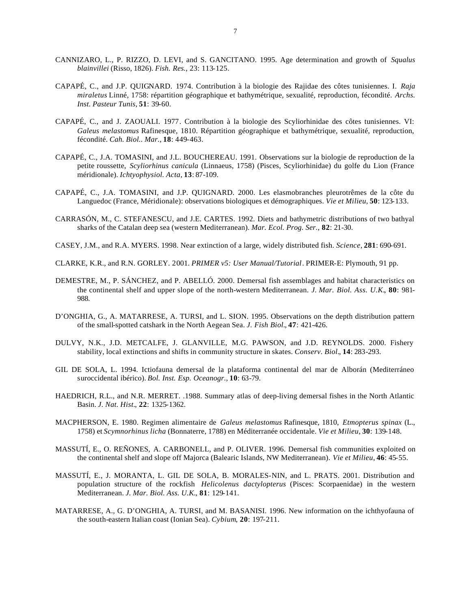- CANNIZARO, L., P. RIZZO, D. LEVI, and S. GANCITANO. 1995. Age determination and growth of *Squalus blainvillei* (Risso, 1826). *Fish. Res.*, 23: 113-125.
- CAPAPÉ, C., and J.P. QUIGNARD. 1974. Contribution à la biologie des Rajidae des côtes tunisiennes. I. *Raja miraletus* Linné, 1758: répartition géographique et bathymétrique, sexualité, reproduction, fécondité. *Archs. Inst. Pasteur Tunis*, **51**: 39-60.
- CAPAPÉ, C., and J. ZAOUALI. 1977. Contribution à la biologie des Scyliorhinidae des côtes tunisiennes. VI: *Galeus melastomus* Rafinesque, 1810. Répartition géographique et bathymétrique, sexualité, reproduction, fécondité. *Cah. Biol.. Mar.*, **18**: 449-463.
- CAPAPÉ, C., J.A. TOMASINI, and J.L. BOUCHEREAU. 1991. Observations sur la biologie de reproduction de la petite roussette, *Scyliorhinus canicula* (Linnaeus, 1758) (Pisces, Scyliorhinidae) du golfe du Lion (France méridionale). *Ichtyophysiol. Acta*, **13**: 87-109.
- CAPAPÉ, C., J.A. TOMASINI, and J.P. QUIGNARD. 2000. Les elasmobranches pleurotrêmes de la côte du Languedoc (France, Méridionale): observations biologiques et démographiques. *Vie et Milieu*, **50**: 123-133.
- CARRASÓN, M., C. STEFANESCU, and J.E. CARTES. 1992. Diets and bathymetric distributions of two bathyal sharks of the Catalan deep sea (western Mediterranean). *Mar. Ecol. Prog. Ser.*, **82**: 21-30.
- CASEY, J.M., and R.A. MYERS. 1998. Near extinction of a large, widely distributed fish. *Science*, **281**: 690-691.
- CLARKE, K.R., and R.N. GORLEY. 2001. *PRIMER v5: User Manual/Tutorial*. PRIMER-E: Plymouth, 91 pp.
- DEMESTRE, M., P. SÁNCHEZ, and P. ABELLÓ. 2000. Demersal fish assemblages and habitat characteristics on the continental shelf and upper slope of the north-western Mediterranean. *J. Mar. Biol. Ass. U.K.*, **80**: 981- 988.
- D'ONGHIA, G., A. MATARRESE, A. TURSI, and L. SION. 1995. Observations on the depth distribution pattern of the small-spotted catshark in the North Aegean Sea. *J. Fish Biol.*, **47**: 421-426.
- DULVY, N.K., J.D. METCALFE, J. GLANVILLE, M.G. PAWSON, and J.D. REYNOLDS. 2000. Fishery stability, local extinctions and shifts in community structure in skates. *Conserv. Biol.*, **14**: 283-293.
- GIL DE SOLA, L. 1994. Ictiofauna demersal de la plataforma continental del mar de Alborán (Mediterráneo suroccidental ibérico). *Bol. Inst. Esp. Oceanogr.*, **10**: 63-79.
- HAEDRICH, R.L., and N.R. MERRET. .1988. Summary atlas of deep-living demersal fishes in the North Atlantic Basin. *J. Nat. Hist.*, **22**: 1325-1362.
- MACPHERSON, E. 1980. Regimen alimentaire de *Galeus melastomus* Rafinesque, 1810, *Etmopterus spinax* (L., 1758) et *Scymnorhinus licha* (Bonnaterre, 1788) en Méditerranée occidentale. *Vie et Milieu*, **30**: 139-148.
- MASSUTÍ, E., O. REÑONES, A. CARBONELL, and P. OLIVER. 1996. Demersal fish communities exploited on the continental shelf and slope off Majorca (Balearic Islands, NW Mediterranean). *Vie et Milieu*, **46**: 45-55.
- MASSUTÍ, E., J. MORANTA, L. GIL DE SOLA, B. MORALES-NIN, and L. PRATS. 2001. Distribution and population structure of the rockfish *Helicolenus dactylopterus* (Pisces: Scorpaenidae) in the western Mediterranean. *J. Mar. Biol. Ass. U.K.*, **81**: 129-141.
- MATARRESE, A., G. D'ONGHIA, A. TURSI, and M. BASANISI. 1996. New information on the ichthyofauna of the south-eastern Italian coast (Ionian Sea). *Cybium*, **20**: 197-211.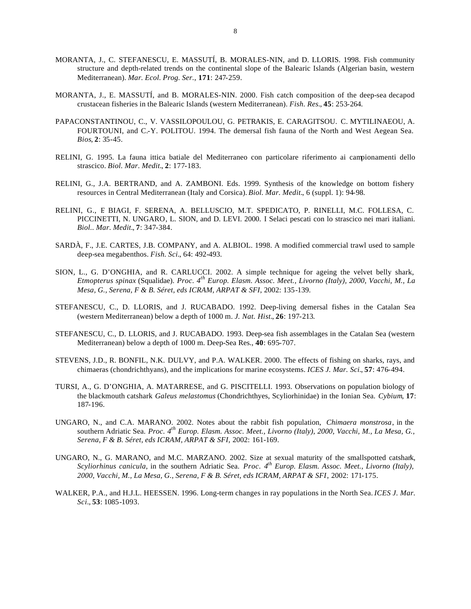- MORANTA, J., C. STEFANESCU, E. MASSUTÍ, B. MORALES-NIN, and D. LLORIS. 1998. Fish community structure and depth-related trends on the continental slope of the Balearic Islands (Algerian basin, western Mediterranean). *Mar. Ecol. Prog. Ser.*, **171**: 247-259.
- MORANTA, J., E. MASSUTÍ, and B. MORALES-NIN. 2000. Fish catch composition of the deep-sea decapod crustacean fisheries in the Balearic Islands (western Mediterranean). *Fish. Res.*, **45**: 253-264.
- PAPACONSTANTINOU, C., V. VASSILOPOULOU, G. PETRAKIS, E. CARAGITSOU. C. MYTILINAEOU, A. FOURTOUNI, and C.-Y. POLITOU. 1994. The demersal fish fauna of the North and West Aegean Sea. *Bios*, **2**: 35-45.
- RELINI, G. 1995. La fauna ittica batiale del Mediterraneo con particolare riferimento ai campionamenti dello strascico. *Biol. Mar. Medit.*, **2**: 177-183.
- RELINI, G., J.A. BERTRAND, and A. ZAMBONI. Eds. 1999. Synthesis of the knowledge on bottom fishery resources in Central Mediterranean (Italy and Corsica). *Biol. Mar. Medit.*, 6 (suppl. 1): 94-98.
- RELINI, G., F. BIAGI, F. SERENA, A. BELLUSCIO, M.T. SPEDICATO, P. RINELLI, M.C. FOLLESA, C. PICCINETTI, N. UNGARO, L. SION, and D. LEVI. 2000. I Selaci pescati con lo strascico nei mari italiani. *Biol.. Mar. Medit.*, **7**: 347-384.
- SARDÀ, F., J.E. CARTES, J.B. COMPANY, and A. ALBIOL. 1998. A modified commercial trawl used to sample deep-sea megabenthos. *Fish. Sci.*, 64: 492-493.
- SION, L., G. D'ONGHIA, and R. CARLUCCI. 2002. A simple technique for ageing the velvet belly shark, *Etmopterus spinax* (Squalidae). *Proc. 4th Europ. Elasm. Assoc. Meet., Livorno (Italy), 2000, Vacchi, M., La Mesa, G., Serena, F & B. Séret, eds ICRAM, ARPAT & SFI*, 2002: 135-139.
- STEFANESCU, C., D. LLORIS, and J. RUCABADO. 1992. Deep-living demersal fishes in the Catalan Sea (western Mediterranean) below a depth of 1000 m. *J. Nat. Hist.*, **26**: 197-213.
- STEFANESCU, C., D. LLORIS, and J. RUCABADO. 1993. Deep-sea fish assemblages in the Catalan Sea (western Mediterranean) below a depth of 1000 m. Deep-Sea Res., **40**: 695-707.
- STEVENS, J.D., R. BONFIL, N.K. DULVY, and P.A. WALKER. 2000. The effects of fishing on sharks, rays, and chimaeras (chondrichthyans), and the implications for marine ecosystems. *ICES J. Mar. Sci.*, **57**: 476-494.
- TURSI, A., G. D'ONGHIA, A. MATARRESE, and G. PISCITELLI. 1993. Observations on population biology of the blackmouth catshark *Galeus melastomus* (Chondrichthyes, Scyliorhinidae) in the Ionian Sea. *Cybium*, **17**: 187-196.
- UNGARO, N., and C.A. MARANO. 2002. Notes about the rabbit fish population, *Chimaera monstrosa*, in the southern Adriatic Sea. *Proc. 4th Europ. Elasm. Assoc. Meet., Livorno (Italy), 2000, Vacchi, M., La Mesa, G., Serena, F & B. Séret, eds ICRAM, ARPAT & SFI*, 2002: 161-169.
- UNGARO, N., G. MARANO, and M.C. MARZANO. 2002. Size at sexual maturity of the smallspotted catshark, *Scyliorhinus canicula*, in the southern Adriatic Sea. *Proc. 4th Europ. Elasm. Assoc. Meet., Livorno (Italy), 2000, Vacchi, M., La Mesa, G., Serena, F & B. Séret, eds ICRAM, ARPAT & SFI*, 2002: 171-175.
- WALKER, P.A., and H.J.L. HEESSEN. 1996. Long-term changes in ray populations in the North Sea. *ICES J. Mar. Sci.*, **53**: 1085-1093.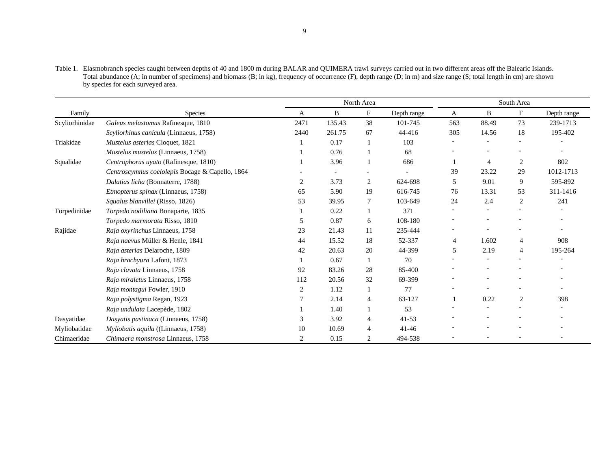Table 1. Elasmobranch species caught between depths of 40 and 1800 m during BALAR and QUIMERA trawl surveys carried out in two different areas off the Balearic Islands. Total abundance (A; in number of specimens) and biomass (B; in kg), frequency of occurrence (F), depth range (D; in m) and size range (S; total length in cm) are shown by species for each surveyed area.

|                |                                                 | North Area     |        |    | South Area  |     |       |                |             |
|----------------|-------------------------------------------------|----------------|--------|----|-------------|-----|-------|----------------|-------------|
| Family         | <b>Species</b>                                  | A              | B      | F  | Depth range | A   | B     | F              | Depth range |
| Scyliorhinidae | Galeus melastomus Rafinesque, 1810              | 2471           | 135.43 | 38 | 101-745     | 563 | 88.49 | 73             | 239-1713    |
|                | Scyliorhinus canicula (Linnaeus, 1758)          | 2440           | 261.75 | 67 | 44-416      | 305 | 14.56 | 18             | 195-402     |
| Triakidae      | Mustelus asterias Cloquet, 1821                 |                | 0.17   |    | 103         |     |       |                |             |
|                | <i>Mustelus mustelus</i> (Linnaeus, 1758)       |                | 0.76   |    | 68          |     |       |                |             |
| Squalidae      | Centrophorus uyato (Rafinesque, 1810)           |                | 3.96   |    | 686         |     | 4     | 2              | 802         |
|                | Centroscymnus coelolepis Bocage & Capello, 1864 |                |        |    |             | 39  | 23.22 | 29             | 1012-1713   |
|                | Dalatias licha (Bonnaterre, 1788)               | $\overline{2}$ | 3.73   | 2  | 624-698     | 5   | 9.01  | 9              | 595-892     |
|                | <i>Etmopterus spinax</i> (Linnaeus, 1758)       | 65             | 5.90   | 19 | 616-745     | 76  | 13.31 | 53             | 311-1416    |
|                | Squalus blanvillei (Risso, 1826)                | 53             | 39.95  | 7  | 103-649     | 24  | 2.4   | $\overline{c}$ | 241         |
| Torpedinidae   | Torpedo nodiliana Bonaparte, 1835               |                | 0.22   |    | 371         |     |       |                |             |
|                | Torpedo marmorata Risso, 1810                   | 5              | 0.87   | 6  | 108-180     |     |       |                |             |
| Rajidae        | Raja oxyrinchus Linnaeus, 1758                  | 23             | 21.43  | 11 | 235-444     |     |       |                |             |
|                | Raja naevus Müller & Henle, 1841                | 44             | 15.52  | 18 | 52-337      | 4   | 1.602 | 4              | 908         |
|                | Raja asterias Delaroche, 1809                   | 42             | 20.63  | 20 | 44-399      | 5   | 2.19  | 4              | 195-264     |
|                | Raja brachyura Lafont, 1873                     |                | 0.67   |    | 70          |     |       |                |             |
|                | Raja clavata Linnaeus, 1758                     | 92             | 83.26  | 28 | 85-400      |     |       |                |             |
|                | Raja miraletus Linnaeus, 1758                   | 112            | 20.56  | 32 | 69-399      |     |       |                |             |
|                | Raja montagui Fowler, 1910                      | 2              | 1.12   |    | 77          |     |       |                |             |
|                | Raja polystigma Regan, 1923                     |                | 2.14   | 4  | 63-127      |     | 0.22  | 2              | 398         |
|                | Raja undulata Lacepède, 1802                    |                | 1.40   |    | 53          |     |       |                |             |
| Dasyatidae     | Dasyatis pastinaca (Linnaeus, 1758)             | 3              | 3.92   | 4  | $41 - 53$   |     |       |                |             |
| Myliobatidae   | Myliobatis aquila ((Linnaeus, 1758)             | 10             | 10.69  | 4  | $41 - 46$   |     |       |                |             |
| Chimaeridae    | Chimaera monstrosa Linnaeus, 1758               |                | 0.15   | 2  | 494-538     |     |       |                |             |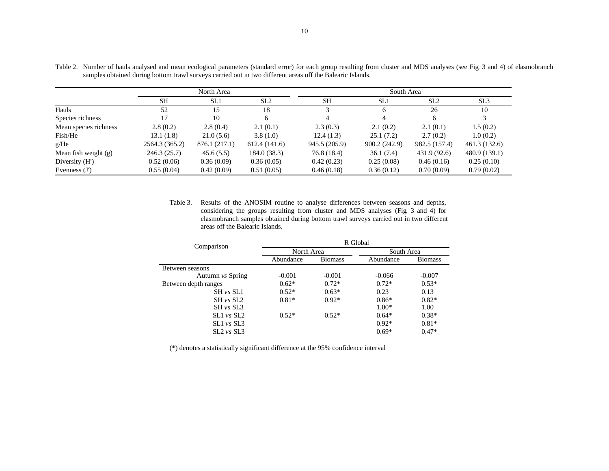|                        | North Area     |               |                 | South Area    |               |                 |                 |  |  |
|------------------------|----------------|---------------|-----------------|---------------|---------------|-----------------|-----------------|--|--|
|                        | <b>SH</b>      | SL1           | SL <sub>2</sub> | <b>SH</b>     | SL1           | SL <sub>2</sub> | SL <sub>3</sub> |  |  |
| Hauls                  | 52             | 15            | 18              | $\mathbf{c}$  | 6             | 26              | 10              |  |  |
| Species richness       | 17             | 10            | 6               | 4             |               | 6               | 3               |  |  |
| Mean species richness  | 2.8(0.2)       | 2.8(0.4)      | 2.1(0.1)        | 2.3(0.3)      | 2.1(0.2)      | 2.1(0.1)        | 1.5(0.2)        |  |  |
| Fish/He                | 13.1(1.8)      | 21.0(5.6)     | 3.8(1.0)        | 12.4(1.3)     | 25.1(7.2)     | 2.7(0.2)        | 1.0(0.2)        |  |  |
| g/He                   | 2564.3 (365.2) | 876.1 (217.1) | 612.4(141.6)    | 945.5 (205.9) | 900.2 (242.9) | 982.5 (157.4)   | 461.3 (132.6)   |  |  |
| Mean fish weight $(g)$ | 246.3(25.7)    | 45.6(5.5)     | 184.0(38.3)     | 76.8 (18.4)   | 36.1(7.4)     | 431.9 (92.6)    | 480.9 (139.1)   |  |  |
| Diversity (H')         | 0.52(0.06)     | 0.36(0.09)    | 0.36(0.05)      | 0.42(0.23)    | 0.25(0.08)    | 0.46(0.16)      | 0.25(0.10)      |  |  |
| Evenness $(J')$        | 0.55(0.04)     | 0.42(0.09)    | 0.51(0.05)      | 0.46(0.18)    | 0.36(0.12)    | 0.70(0.09)      | 0.79(0.02)      |  |  |

Table 2. Number of hauls analysed and mean ecological parameters (standard error) for each group resulting from cluster and MDS analyses (see Fig. 3 and 4) of elasmobranch samples obtained during bottom trawl surveys carried out in two different areas off the Balearic Islands.

Table 3. Results of the ANOSIM routine to analyse differences between seasons and depths, considering the groups resulting from cluster and MDS analyses (Fig. 3 and 4) for elasmobranch samples obtained during bottom trawl surveys carried out in two different areas off the Balearic Islands.

| Comparison           | R Global   |                |            |                |  |  |  |  |
|----------------------|------------|----------------|------------|----------------|--|--|--|--|
|                      | North Area |                | South Area |                |  |  |  |  |
|                      | Abundance  | <b>Biomass</b> | Abundance  | <b>Biomass</b> |  |  |  |  |
| Between seasons      |            |                |            |                |  |  |  |  |
| Autumn vs Spring     | $-0.001$   | $-0.001$       | $-0.066$   | $-0.007$       |  |  |  |  |
| Between depth ranges | $0.62*$    | $0.72*$        |            | $0.53*$        |  |  |  |  |
| SH vs SL1            | $0.52*$    | $0.63*$        | 0.23       | 0.13           |  |  |  |  |
| $SH$ vs $SL2$        | $0.81*$    | $0.92*$        | $0.86*$    | $0.82*$        |  |  |  |  |
| $SH$ vs $SL3$        |            |                | $1.00*$    | 1.00           |  |  |  |  |
| SL1 vs SL2           | $0.52*$    | $0.52*$        | $0.64*$    | $0.38*$        |  |  |  |  |
| $SL1 \nu s SL3$      |            |                | $0.92*$    | $0.81*$        |  |  |  |  |
| $SL2 \nu s SL3$      |            |                | $0.69*$    | $0.47*$        |  |  |  |  |

(\*) denotes a statistically significant difference at the 95% confidence interval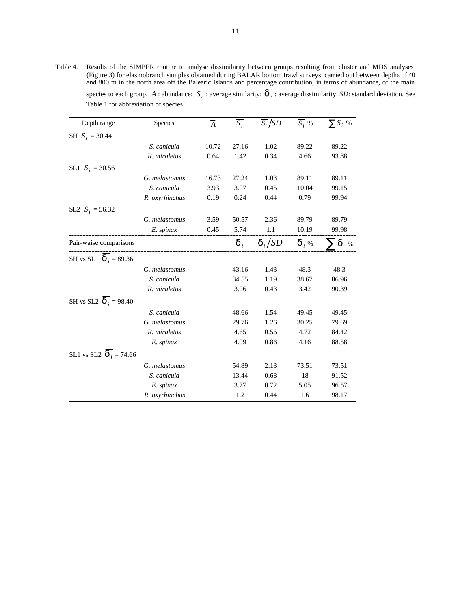Table 4. Results of the SIMPER routine to analyse dissimilarity between groups resulting from cluster and MDS analyses (Figure 3) for elasmobranch samples obtained during BALAR bottom trawl surveys, carried out between depths of 40 and 800 m in the north area off the Balearic Islands and percentage contribution, in terms of abundance, of the main species to each group.  $\overline{A}$  : abundance;  $\overline{S_i}$  : average similarity;  $\overline{d_i}$  : average dissimilarity, *SD*: standard deviation. See Table 1 for abbreviation of species.

| Depth range                           | Species        | $\overline{A}$ | $\overline{S_i}$      | $\overline{S_i}/SD$ | $\overline{S_i}$ % | $\sum S_i$ % |
|---------------------------------------|----------------|----------------|-----------------------|---------------------|--------------------|--------------|
| SH $\overline{S_i}$ = 30.44           |                |                |                       |                     |                    |              |
|                                       | S. canicula    | 10.72          | 27.16                 | 1.02                | 89.22              | 89.22        |
|                                       | R. miraletus   | 0.64           | 1.42                  | 0.34                | 4.66               | 93.88        |
| SL1 $\overline{S_i}$ = 30.56          |                |                |                       |                     |                    |              |
|                                       | G. melastomus  | 16.73          | 27.24                 | 1.03                | 89.11              | 89.11        |
|                                       | S. canicula    | 3.93           | 3.07                  | 0.45                | 10.04              | 99.15        |
|                                       | R. oxyrhinchus | 0.19           | 0.24                  | 0.44                | 0.79               | 99.94        |
| SL2 $\overline{S_i}$ = 56.32          |                |                |                       |                     |                    |              |
|                                       | G. melastomus  | 3.59           | 50.57                 | 2.36                | 89.79              | 89.79        |
|                                       | E. spinax      | 0.45           | 5.74                  | $1.1\,$             | 10.19              | 99.98        |
| Pair-waise comparisons                |                |                | $\overline{\bm{d}}_i$ | $\overline{d_i}/SD$ | $\overline{d}$ , % | $\sum d_i$ % |
| SH vs SL1 $\overline{d_i}$ = 89.36    |                |                |                       |                     |                    |              |
|                                       | G. melastomus  |                | 43.16                 | 1.43                | 48.3               | 48.3         |
|                                       | S. canicula    |                | 34.55                 | 1.19                | 38.67              | 86.96        |
|                                       | R. miraletus   |                | 3.06                  | 0.43                | 3.42               | 90.39        |
| SH vs SL2 $\overline{d_i}$ = 98.40    |                |                |                       |                     |                    |              |
|                                       | S. canicula    |                | 48.66                 | 1.54                | 49.45              | 49.45        |
|                                       | G. melastomus  |                | 29.76                 | 1.26                | 30.25              | 79.69        |
|                                       | R. miraletus   |                | 4.65                  | 0.56                | 4.72               | 84.42        |
|                                       | E. spinax      |                | 4.09                  | 0.86                | 4.16               | 88.58        |
| SL1 vs SL2 $\boldsymbol{d}_i$ = 74.66 |                |                |                       |                     |                    |              |
|                                       | G. melastomus  |                | 54.89                 | 2.13                | 73.51              | 73.51        |
|                                       | S. canicula    |                | 13.44                 | 0.68                | 18                 | 91.52        |
|                                       | E. spinax      |                | 3.77                  | 0.72                | 5.05               | 96.57        |
|                                       | R. oxyrhinchus |                | 1.2                   | 0.44                | 1.6                | 98.17        |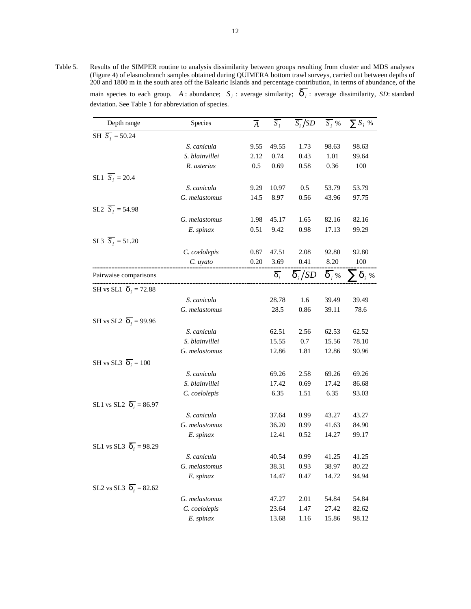Table 5. Results of the SIMPER routine to analysis dissimilarity between groups resulting from cluster and MDS analyses (Figure 4) of elasmobranch samples obtained during QUIMERA bottom trawl surveys, carried out between depths of 200 and 1800 m in the south area off the Balearic Islands and percentage contribution, in terms of abundance, of the main species to each group.  $\overline{A}$ : abundance;  $\overline{S_i}$ : average similarity;  $\overline{d_i}$ : average dissimilarity, *SD*: standard deviation. See Table 1 for abbreviation of species.

| Depth range                         | Species        | $\overline{A}$ | $\overline{S_i}$ | $\overline{S_i}/SD$ | $\overline{S_i}$ % | $\sum S_i$ % |
|-------------------------------------|----------------|----------------|------------------|---------------------|--------------------|--------------|
| SH $\overline{S_i}$ = 50.24         |                |                |                  |                     |                    |              |
|                                     | S. canicula    | 9.55           | 49.55            | 1.73                | 98.63              | 98.63        |
|                                     | S. blainvillei | 2.12           | 0.74             | 0.43                | 1.01               | 99.64        |
|                                     | R. asterias    | 0.5            | 0.69             | 0.58                | 0.36               | 100          |
| SL1 $\overline{S_i}$ = 20.4         |                |                |                  |                     |                    |              |
|                                     | S. canicula    | 9.29           | 10.97            | 0.5                 | 53.79              | 53.79        |
|                                     | G. melastomus  | 14.5           | 8.97             | 0.56                | 43.96              | 97.75        |
| SL2 $\overline{S_i}$ = 54.98        |                |                |                  |                     |                    |              |
|                                     | G. melastomus  | 1.98           | 45.17            | 1.65                | 82.16              | 82.16        |
|                                     | E. spinax      | 0.51           | 9.42             | 0.98                | 17.13              | 99.29        |
| SL3 $\overline{S_i}$ = 51.20        |                |                |                  |                     |                    |              |
|                                     | C. coelolepis  | 0.87           | 47.51            | 2.08                | 92.80              | 92.80        |
|                                     | C. uyato       | 0.20           | 3.69             | 0.41                | 8.20               | 100          |
| Pairwaise comparisons               |                |                | $\overline{d_i}$ | $\overline{d_i}/SD$ | $\overline{d}$ , % | $\sum d_i$ % |
| SH vs SL1 $\overline{d_i}$ = 72.88  |                |                |                  |                     |                    |              |
|                                     | S. canicula    |                | 28.78            | 1.6                 | 39.49              | 39.49        |
|                                     | G. melastomus  |                | 28.5             | 0.86                | 39.11              | 78.6         |
| SH vs SL2 $\overline{d_i}$ = 99.96  |                |                |                  |                     |                    |              |
|                                     | S. canicula    |                | 62.51            | 2.56                | 62.53              | 62.52        |
|                                     | S. blainvillei |                | 15.55            | 0.7                 | 15.56              | 78.10        |
|                                     | G. melastomus  |                | 12.86            | 1.81                | 12.86              | 90.96        |
| SH vs SL3 $\overline{d_i}$ = 100    |                |                |                  |                     |                    |              |
|                                     | S. canicula    |                | 69.26            | 2.58                | 69.26              | 69.26        |
|                                     | S. blainvillei |                | 17.42            | 0.69                | 17.42              | 86.68        |
|                                     | C. coelolepis  |                | 6.35             | 1.51                | 6.35               | 93.03        |
| SL1 vs SL2 $\overline{d_i}$ = 86.97 |                |                |                  |                     |                    |              |
|                                     | S. canicula    |                | 37.64            | 0.99                | 43.27              | 43.27        |
|                                     | G. melastomus  |                | 36.20            | 0.99                | 41.63              | 84.90        |
|                                     | E. spinax      |                | 12.41            | 0.52                | 14.27              | 99.17        |
| SL1 vs SL3 $\overline{d_i}$ = 98.29 |                |                |                  |                     |                    |              |
|                                     | S. canicula    |                | 40.54            | 0.99                | 41.25              | 41.25        |
|                                     | G. melastomus  |                | 38.31            | 0.93                | 38.97              | 80.22        |
|                                     | E. spinax      |                | 14.47            | 0.47                | 14.72              | 94.94        |
| SL2 vs SL3 $\overline{d_i}$ = 82.62 |                |                |                  |                     |                    |              |
|                                     | G. melastomus  |                | 47.27            | 2.01                | 54.84              | 54.84        |
|                                     | C. coelolepis  |                | 23.64            | 1.47                | 27.42              | 82.62        |
|                                     | E. spinax      |                | 13.68            | 1.16                | 15.86              | 98.12        |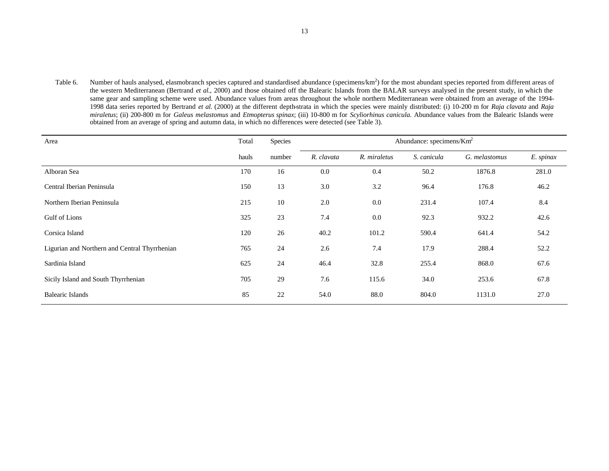Table 6. Number of hauls analysed, elasmobranch species captured and standardised abundance (specimens/ $km<sup>2</sup>$ ) for the most abundant species reported from different areas of the western Mediterranean (Bertrand *et al.*, 2000) and those obtained off the Balearic Islands from the BALAR surveys analysed in the present study, in which the same gear and sampling scheme were used. Abundance values from areas throughout the whole northern Mediterranean were obtained from an average of the 1994-1998 data series reported by Bertrand *et al.* (2000) at the different depth-strata in which the species were mainly distributed: (i) 10-200 m for *Raja clavata* and *Raja miraletus*; (ii) 200-800 m for *Galeus melastomus* and *Etmopterus spinax*; (iii) 10-800 m for *Scyliorhinus canicula*. Abundance values from the Balearic Islands were obtained from an average of spring and autumn data, in which no differences were detected (see Table 3).

| Area                                          | Total | Species | Abundance: specimens/ $Km^2$ |              |             |               |           |
|-----------------------------------------------|-------|---------|------------------------------|--------------|-------------|---------------|-----------|
|                                               | hauls | number  | R. clavata                   | R. miraletus | S. canicula | G. melastomus | E. spinax |
| Alboran Sea                                   | 170   | 16      | 0.0                          | 0.4          | 50.2        | 1876.8        | 281.0     |
| Central Iberian Peninsula                     | 150   | 13      | 3.0                          | 3.2          | 96.4        | 176.8         | 46.2      |
| Northern Iberian Peninsula                    | 215   | 10      | 2.0                          | 0.0          | 231.4       | 107.4         | 8.4       |
| Gulf of Lions                                 | 325   | 23      | 7.4                          | 0.0          | 92.3        | 932.2         | 42.6      |
| Corsica Island                                | 120   | 26      | 40.2                         | 101.2        | 590.4       | 641.4         | 54.2      |
| Ligurian and Northern and Central Thyrrhenian | 765   | 24      | 2.6                          | 7.4          | 17.9        | 288.4         | 52.2      |
| Sardinia Island                               | 625   | 24      | 46.4                         | 32.8         | 255.4       | 868.0         | 67.6      |
| Sicily Island and South Thyrrhenian           | 705   | 29      | 7.6                          | 115.6        | 34.0        | 253.6         | 67.8      |
| <b>Balearic Islands</b>                       | 85    | 22      | 54.0                         | 88.0         | 804.0       | 1131.0        | 27.0      |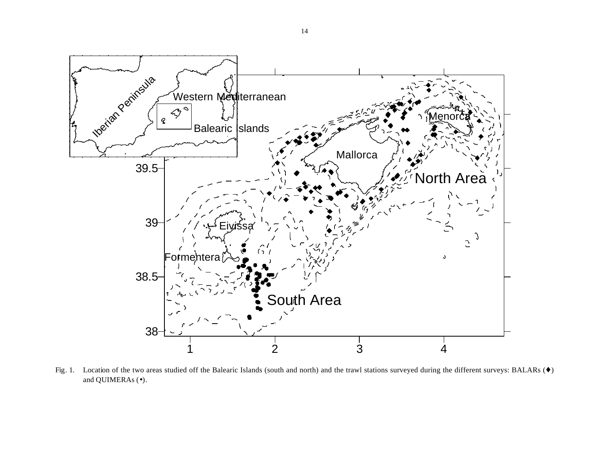

Fig. 1. Location of the two areas studied off the Balearic Islands (south and north) and the trawl stations surveyed during the different surveys: BALARs (♦) and QUIMERAs ( $\bullet$ ).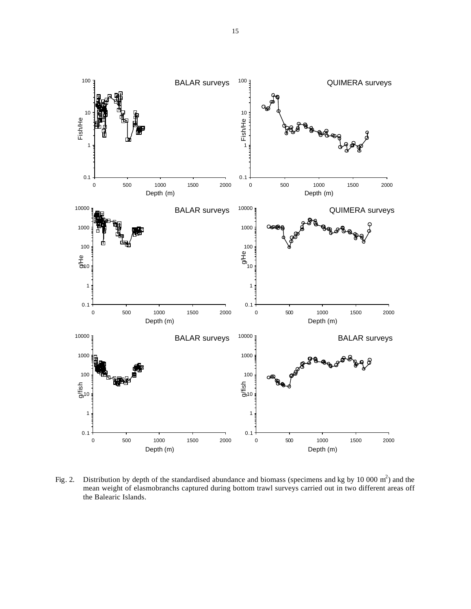

Fig. 2. Distribution by depth of the standardised abundance and biomass (specimens and kg by 10 000 m<sup>2</sup>) and the mean weight of elasmobranchs captured during bottom trawl surveys carried out in two different areas off the Balearic Islands.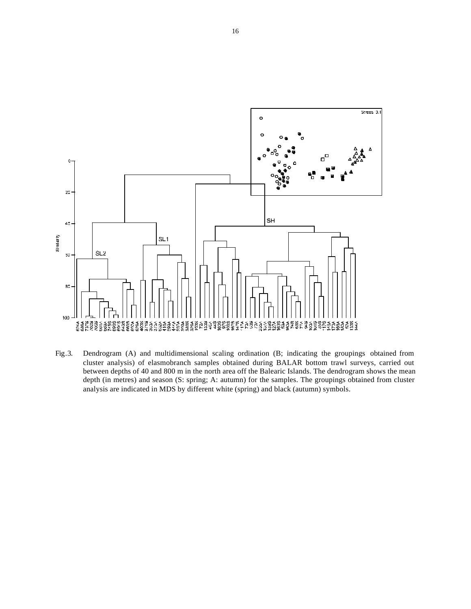

Fig.3. Dendrogram (A) and multidimensional scaling ordination (B; indicating the groupings obtained from cluster analysis) of elasmobranch samples obtained during BALAR bottom trawl surveys, carried out between depths of 40 and 800 m in the north area off the Balearic Islands. The dendrogram shows the mean depth (in metres) and season (S: spring; A: autumn) for the samples. The groupings obtained from cluster analysis are indicated in MDS by different white (spring) and black (autumn) symbols.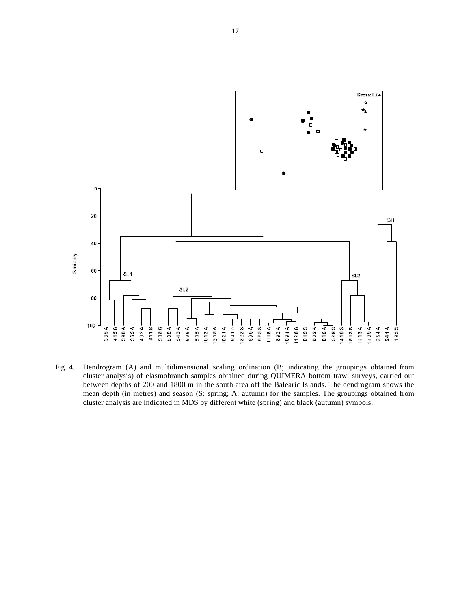

Fig. 4. Dendrogram (A) and multidimensional scaling ordination (B; indicating the groupings obtained from cluster analysis) of elasmobranch samples obtained during QUIMERA bottom trawl surveys, carried out between depths of 200 and 1800 m in the south area off the Balearic Islands. The dendrogram shows the mean depth (in metres) and season (S: spring; A: autumn) for the samples. The groupings obtained from cluster analysis are indicated in MDS by different white (spring) and black (autumn) symbols.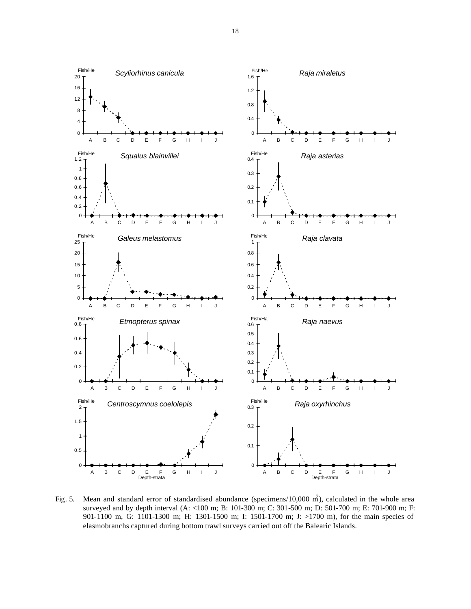

Fig. 5. Mean and standard error of standardised abundance (specimens/10,000  $m<sup>2</sup>$ ), calculated in the whole area surveyed and by depth interval (A: <100 m; B: 101-300 m; C: 301-500 m; D: 501-700 m; E: 701-900 m; F: 901-1100 m, G: 1101-1300 m; H: 1301-1500 m; I: 1501-1700 m; J: >1700 m), for the main species of elasmobranchs captured during bottom trawl surveys carried out off the Balearic Islands.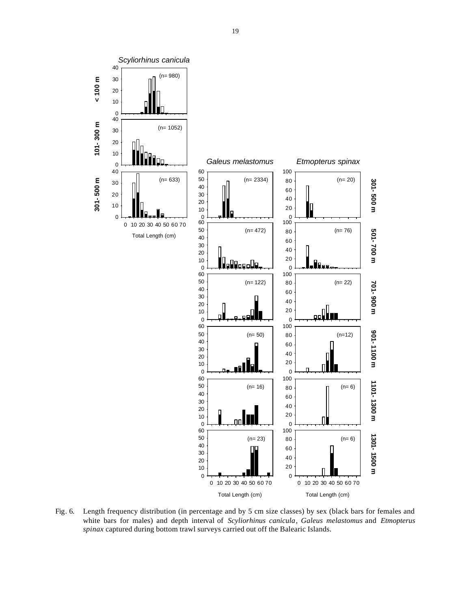

Fig. 6. Length frequency distribution (in percentage and by 5 cm size classes) by sex (black bars for females and white bars for males) and depth interval of *Scyliorhinus canicula*, *Galeus melastomus* and *Etmopterus spinax* captured during bottom trawl surveys carried out off the Balearic Islands.